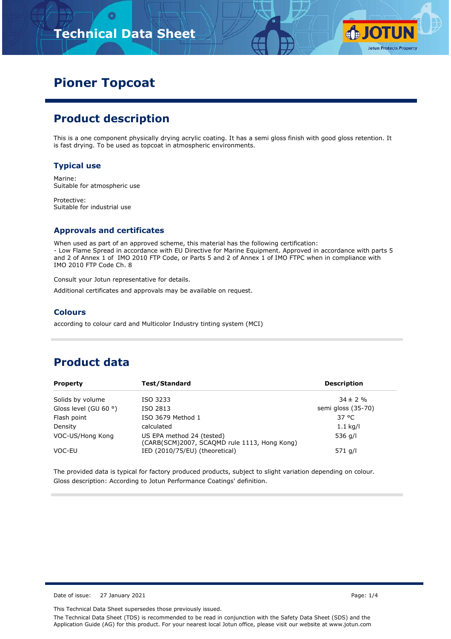# **Technical Data Sheet**



## **Pioner Topcoat**

### **Product description**

This is a one component physically drying acrylic coating. It has a semi gloss finish with good gloss retention. It is fast drying. To be used as topcoat in atmospheric environments.

#### **Typical use**

Marine: Suitable for atmospheric use

Protective: Suitable for industrial use

### **Approvals and certificates**

When used as part of an approved scheme, this material has the following certification: - Low Flame Spread in accordance with EU Directive for Marine Equipment. Approved in accordance with parts 5 and 2 of Annex 1 of IMO 2010 FTP Code, or Parts 5 and 2 of Annex 1 of IMO FTPC when in compliance with IMO 2010 FTP Code Ch. 8

Consult your Jotun representative for details.

Additional certificates and approvals may be available on request.

#### **Colours**

according to colour card and Multicolor Industry tinting system (MCI)

### **Product data**

| <b>Property</b>                | Test/Standard                                                             | <b>Description</b> |
|--------------------------------|---------------------------------------------------------------------------|--------------------|
| Solids by volume               | ISO 3233                                                                  | $34 \pm 2 \%$      |
| Gloss level (GU 60 $\degree$ ) | ISO 2813                                                                  | semi gloss (35-70) |
| Flash point                    | ISO 3679 Method 1                                                         | 37 °C              |
| Density                        | calculated                                                                | $1.1$ kg/l         |
| VOC-US/Hong Kong               | US EPA method 24 (tested)<br>(CARB(SCM)2007, SCAQMD rule 1113, Hong Kong) | 536 g/l            |
| VOC-EU                         | IED (2010/75/EU) (theoretical)                                            | 571 g/l            |

The provided data is typical for factory produced products, subject to slight variation depending on colour. Gloss description: According to Jotun Performance Coatings' definition.

Date of issue: 27 January 2021 Page: 1/4

This Technical Data Sheet supersedes those previously issued.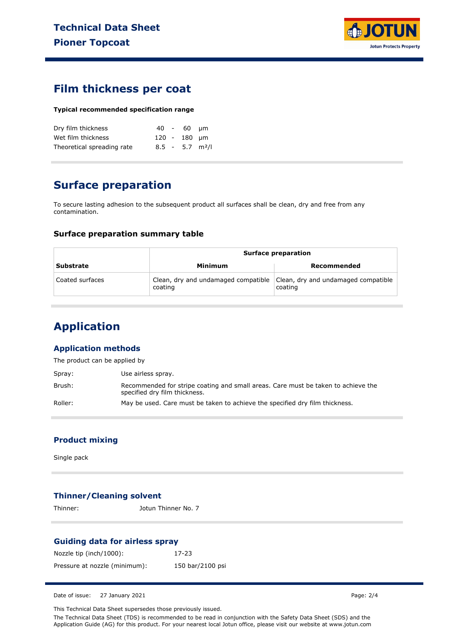

### **Film thickness per coat**

#### **Typical recommended specification range**

| Dry film thickness         |  | 40 - 60 um                    |  |
|----------------------------|--|-------------------------------|--|
| Wet film thickness         |  | 120 - 180 um                  |  |
| Theoretical spreading rate |  | $8.5 - 5.7$ m <sup>2</sup> /l |  |

### **Surface preparation**

To secure lasting adhesion to the subsequent product all surfaces shall be clean, dry and free from any contamination.

#### **Surface preparation summary table**

|                  | <b>Surface preparation</b>                     |                                                |  |
|------------------|------------------------------------------------|------------------------------------------------|--|
| <b>Substrate</b> | Minimum                                        | Recommended                                    |  |
| Coated surfaces  | Clean, dry and undamaged compatible<br>coating | Clean, dry and undamaged compatible<br>coating |  |

## **Application**

### **Application methods**

The product can be applied by

| Spray:  | Use airless spray.                                                                                                 |
|---------|--------------------------------------------------------------------------------------------------------------------|
| Brush:  | Recommended for stripe coating and small areas. Care must be taken to achieve the<br>specified dry film thickness. |
| Roller: | May be used. Care must be taken to achieve the specified dry film thickness.                                       |

### **Product mixing**

Single pack

### **Thinner/Cleaning solvent**

Thinner: Jotun Thinner No. 7

#### **Guiding data for airless spray**

| Nozzle tip (inch/1000):       | 17-23            |
|-------------------------------|------------------|
| Pressure at nozzle (minimum): | 150 bar/2100 psi |

Date of issue: 27 January 2021 Page: 2/4

This Technical Data Sheet supersedes those previously issued.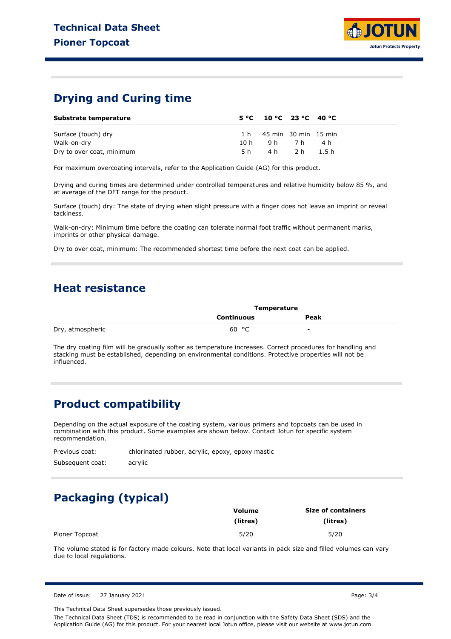

### **Drying and Curing time**

| Substrate temperature     |      | $5^{\circ}$ C 10 °C 23 °C 40 °C |            |     |  |
|---------------------------|------|---------------------------------|------------|-----|--|
| Surface (touch) dry       |      | 1 h 45 min 30 min 15 min        |            |     |  |
| Walk-on-dry               | 10 h | 9h 7h                           |            | 4 h |  |
| Dry to over coat, minimum | 5 h  |                                 | 4h 2h 1.5h |     |  |

For maximum overcoating intervals, refer to the Application Guide (AG) for this product.

Drying and curing times are determined under controlled temperatures and relative humidity below 85 %, and at average of the DFT range for the product.

Surface (touch) dry: The state of drying when slight pressure with a finger does not leave an imprint or reveal tackiness.

Walk-on-dry: Minimum time before the coating can tolerate normal foot traffic without permanent marks, imprints or other physical damage.

Dry to over coat, minimum: The recommended shortest time before the next coat can be applied.

### **Heat resistance**

|                  | Temperature |                          |  |
|------------------|-------------|--------------------------|--|
|                  | Continuous  | Peak                     |  |
| Dry, atmospheric | 60 °C       | $\overline{\phantom{a}}$ |  |

The dry coating film will be gradually softer as temperature increases. Correct procedures for handling and stacking must be established, depending on environmental conditions. Protective properties will not be influenced.

### **Product compatibility**

Depending on the actual exposure of the coating system, various primers and topcoats can be used in combination with this product. Some examples are shown below. Contact Jotun for specific system recommendation.

Previous coat: Subsequent coat: chlorinated rubber, acrylic, epoxy, epoxy mastic acrylic

## **Packaging (typical)**

|                | Volume   | <b>Size of containers</b> |  |  |
|----------------|----------|---------------------------|--|--|
|                | (litres) | (litres)                  |  |  |
| Pioner Topcoat | 5/20     | 5/20                      |  |  |

The volume stated is for factory made colours. Note that local variants in pack size and filled volumes can vary due to local regulations.

Date of issue: 27 January 2021 Page: 3/4

This Technical Data Sheet supersedes those previously issued.